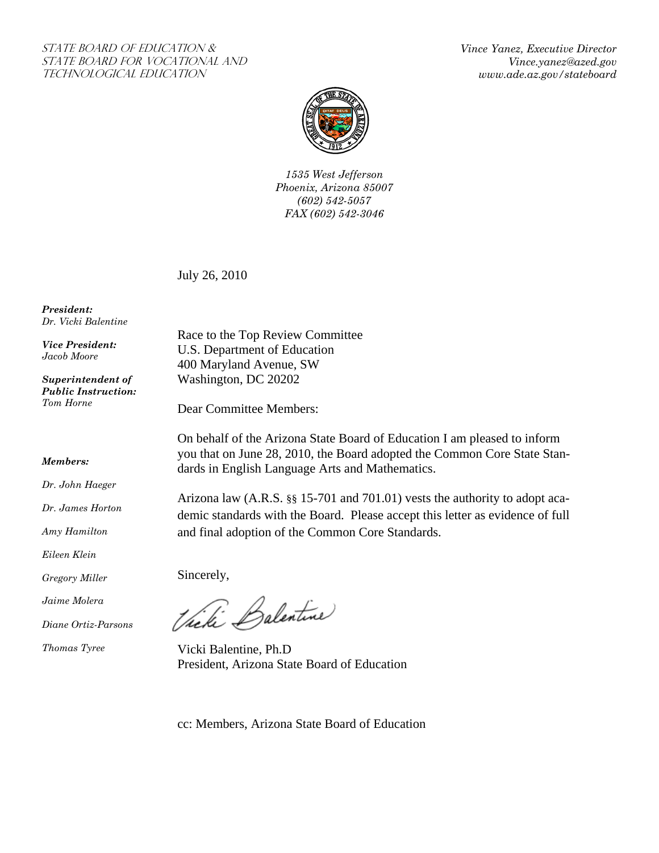## STATE BOARD OF EDUCATION & State Board for Vocational And Technological Education

*Vince Yanez, Executive Director Vince.yanez@azed.gov www.ade.az.gov/stateboard* 



*1535 West Jefferson Phoenix, Arizona 85007 (602) 542-5057 FAX (602) 542-3046* 

July 26, 2010

*President: Dr. Vicki Balentine* 

*Vice President: Jacob Moore* 

*Superintendent of Public Instruction: Tom Horne* 

## *Members:*

*Dr. John Haeger* 

*Dr. James Horton* 

*Amy Hamilton* 

*Eileen Klein* 

*Gregory Miller* 

*Jaime Molera* 

*Diane Ortiz-Parsons* 

*Thomas Tyree* 

Race to the Top Review Committee U.S. Department of Education 400 Maryland Avenue, SW Washington, DC 20202

Dear Committee Members:

On behalf of the Arizona State Board of Education I am pleased to inform you that on June 28, 2010, the Board adopted the Common Core State Standards in English Language Arts and Mathematics.

Arizona law (A.R.S. §§ 15-701 and 701.01) vests the authority to adopt academic standards with the Board. Please accept this letter as evidence of full and final adoption of the Common Core Standards.

Sincerely,

Victi Balentine

Vicki Balentine, Ph.D President, Arizona State Board of Education

cc: Members, Arizona State Board of Education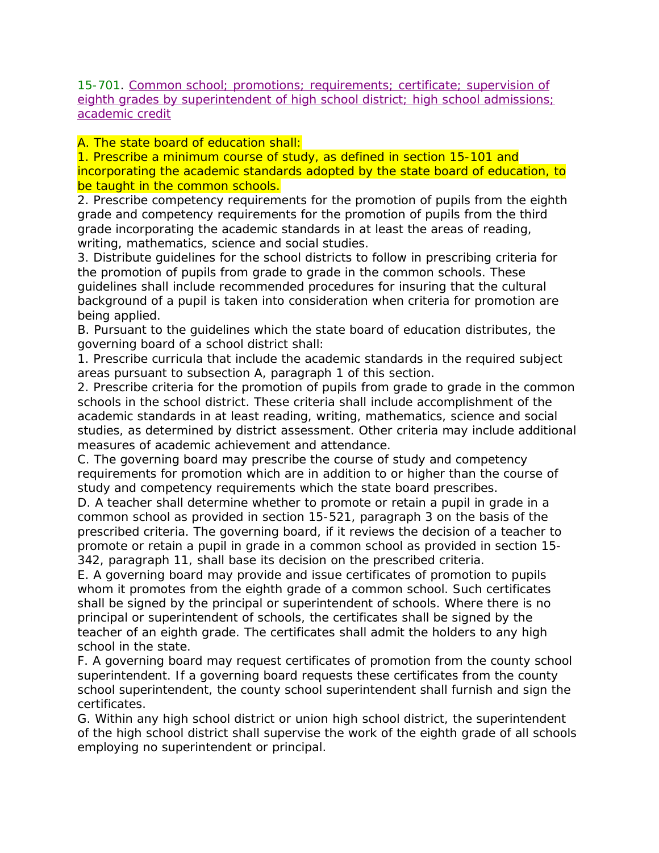15-701. Common school; promotions; requirements; certificate; supervision of eighth grades by superintendent of high school district; high school admissions; academic credit

A. The state board of education shall:

1. Prescribe a minimum course of study, as defined in section 15-101 and incorporating the academic standards adopted by the state board of education, to be taught in the common schools.

2. Prescribe competency requirements for the promotion of pupils from the eighth grade and competency requirements for the promotion of pupils from the third grade incorporating the academic standards in at least the areas of reading, writing, mathematics, science and social studies.

3. Distribute guidelines for the school districts to follow in prescribing criteria for the promotion of pupils from grade to grade in the common schools. These guidelines shall include recommended procedures for insuring that the cultural background of a pupil is taken into consideration when criteria for promotion are being applied.

B. Pursuant to the guidelines which the state board of education distributes, the governing board of a school district shall:

1. Prescribe curricula that include the academic standards in the required subject areas pursuant to subsection A, paragraph 1 of this section.

2. Prescribe criteria for the promotion of pupils from grade to grade in the common schools in the school district. These criteria shall include accomplishment of the academic standards in at least reading, writing, mathematics, science and social studies, as determined by district assessment. Other criteria may include additional measures of academic achievement and attendance.

C. The governing board may prescribe the course of study and competency requirements for promotion which are in addition to or higher than the course of study and competency requirements which the state board prescribes.

D. A teacher shall determine whether to promote or retain a pupil in grade in a common school as provided in section 15-521, paragraph 3 on the basis of the prescribed criteria. The governing board, if it reviews the decision of a teacher to promote or retain a pupil in grade in a common school as provided in section 15- 342, paragraph 11, shall base its decision on the prescribed criteria.

E. A governing board may provide and issue certificates of promotion to pupils whom it promotes from the eighth grade of a common school. Such certificates shall be signed by the principal or superintendent of schools. Where there is no principal or superintendent of schools, the certificates shall be signed by the teacher of an eighth grade. The certificates shall admit the holders to any high school in the state.

F. A governing board may request certificates of promotion from the county school superintendent. If a governing board requests these certificates from the county school superintendent, the county school superintendent shall furnish and sign the certificates.

G. Within any high school district or union high school district, the superintendent of the high school district shall supervise the work of the eighth grade of all schools employing no superintendent or principal.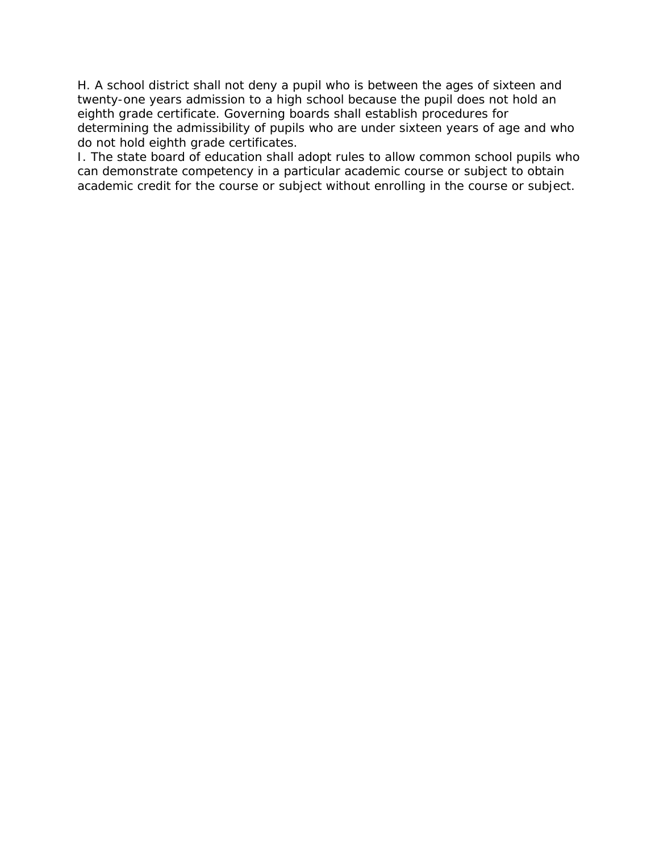H. A school district shall not deny a pupil who is between the ages of sixteen and twenty-one years admission to a high school because the pupil does not hold an eighth grade certificate. Governing boards shall establish procedures for determining the admissibility of pupils who are under sixteen years of age and who do not hold eighth grade certificates.

I. The state board of education shall adopt rules to allow common school pupils who can demonstrate competency in a particular academic course or subject to obtain academic credit for the course or subject without enrolling in the course or subject.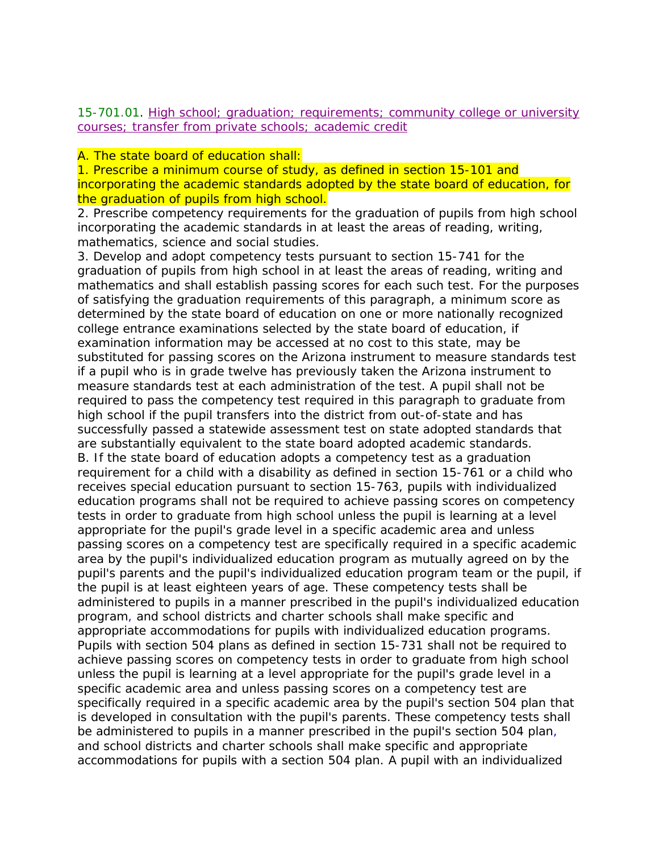15-701.01. High school; graduation; requirements; community college or university courses; transfer from private schools; academic credit

## A. The state board of education shall:

1. Prescribe a minimum course of study, as defined in section 15-101 and incorporating the academic standards adopted by the state board of education, for the graduation of pupils from high school.

2. Prescribe competency requirements for the graduation of pupils from high school incorporating the academic standards in at least the areas of reading, writing, mathematics, science and social studies.

3. Develop and adopt competency tests pursuant to section 15-741 for the graduation of pupils from high school in at least the areas of reading, writing and mathematics and shall establish passing scores for each such test. For the purposes of satisfying the graduation requirements of this paragraph, a minimum score as determined by the state board of education on one or more nationally recognized college entrance examinations selected by the state board of education, if examination information may be accessed at no cost to this state, may be substituted for passing scores on the Arizona instrument to measure standards test if a pupil who is in grade twelve has previously taken the Arizona instrument to measure standards test at each administration of the test. A pupil shall not be required to pass the competency test required in this paragraph to graduate from high school if the pupil transfers into the district from out-of-state and has successfully passed a statewide assessment test on state adopted standards that are substantially equivalent to the state board adopted academic standards. B. If the state board of education adopts a competency test as a graduation requirement for a child with a disability as defined in section 15-761 or a child who receives special education pursuant to section 15-763, pupils with individualized education programs shall not be required to achieve passing scores on competency tests in order to graduate from high school unless the pupil is learning at a level appropriate for the pupil's grade level in a specific academic area and unless passing scores on a competency test are specifically required in a specific academic area by the pupil's individualized education program as mutually agreed on by the pupil's parents and the pupil's individualized education program team or the pupil, if the pupil is at least eighteen years of age. These competency tests shall be administered to pupils in a manner prescribed in the pupil's individualized education program, and school districts and charter schools shall make specific and appropriate accommodations for pupils with individualized education programs. Pupils with section 504 plans as defined in section 15-731 shall not be required to achieve passing scores on competency tests in order to graduate from high school unless the pupil is learning at a level appropriate for the pupil's grade level in a specific academic area and unless passing scores on a competency test are specifically required in a specific academic area by the pupil's section 504 plan that is developed in consultation with the pupil's parents. These competency tests shall be administered to pupils in a manner prescribed in the pupil's section 504 plan, and school districts and charter schools shall make specific and appropriate accommodations for pupils with a section 504 plan. A pupil with an individualized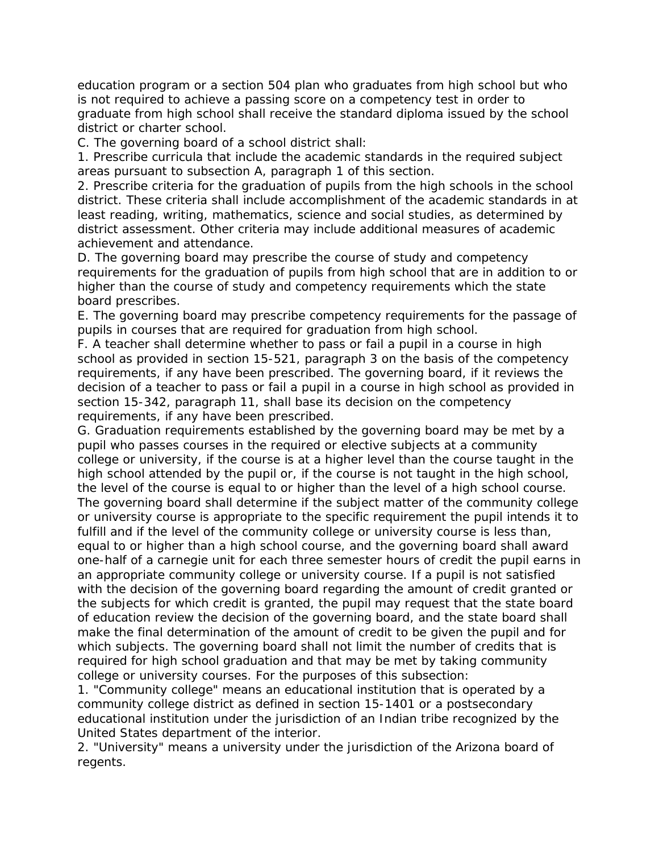education program or a section 504 plan who graduates from high school but who is not required to achieve a passing score on a competency test in order to graduate from high school shall receive the standard diploma issued by the school district or charter school.

C. The governing board of a school district shall:

1. Prescribe curricula that include the academic standards in the required subject areas pursuant to subsection A, paragraph 1 of this section.

2. Prescribe criteria for the graduation of pupils from the high schools in the school district. These criteria shall include accomplishment of the academic standards in at least reading, writing, mathematics, science and social studies, as determined by district assessment. Other criteria may include additional measures of academic achievement and attendance.

D. The governing board may prescribe the course of study and competency requirements for the graduation of pupils from high school that are in addition to or higher than the course of study and competency requirements which the state board prescribes.

E. The governing board may prescribe competency requirements for the passage of pupils in courses that are required for graduation from high school.

F. A teacher shall determine whether to pass or fail a pupil in a course in high school as provided in section 15-521, paragraph 3 on the basis of the competency requirements, if any have been prescribed. The governing board, if it reviews the decision of a teacher to pass or fail a pupil in a course in high school as provided in section 15-342, paragraph 11, shall base its decision on the competency requirements, if any have been prescribed.

G. Graduation requirements established by the governing board may be met by a pupil who passes courses in the required or elective subjects at a community college or university, if the course is at a higher level than the course taught in the high school attended by the pupil or, if the course is not taught in the high school, the level of the course is equal to or higher than the level of a high school course. The governing board shall determine if the subject matter of the community college or university course is appropriate to the specific requirement the pupil intends it to fulfill and if the level of the community college or university course is less than, equal to or higher than a high school course, and the governing board shall award one-half of a carnegie unit for each three semester hours of credit the pupil earns in an appropriate community college or university course. If a pupil is not satisfied with the decision of the governing board regarding the amount of credit granted or the subjects for which credit is granted, the pupil may request that the state board of education review the decision of the governing board, and the state board shall make the final determination of the amount of credit to be given the pupil and for which subjects. The governing board shall not limit the number of credits that is required for high school graduation and that may be met by taking community college or university courses. For the purposes of this subsection:

1. "Community college" means an educational institution that is operated by a community college district as defined in section 15-1401 or a postsecondary educational institution under the jurisdiction of an Indian tribe recognized by the United States department of the interior.

2. "University" means a university under the jurisdiction of the Arizona board of regents.